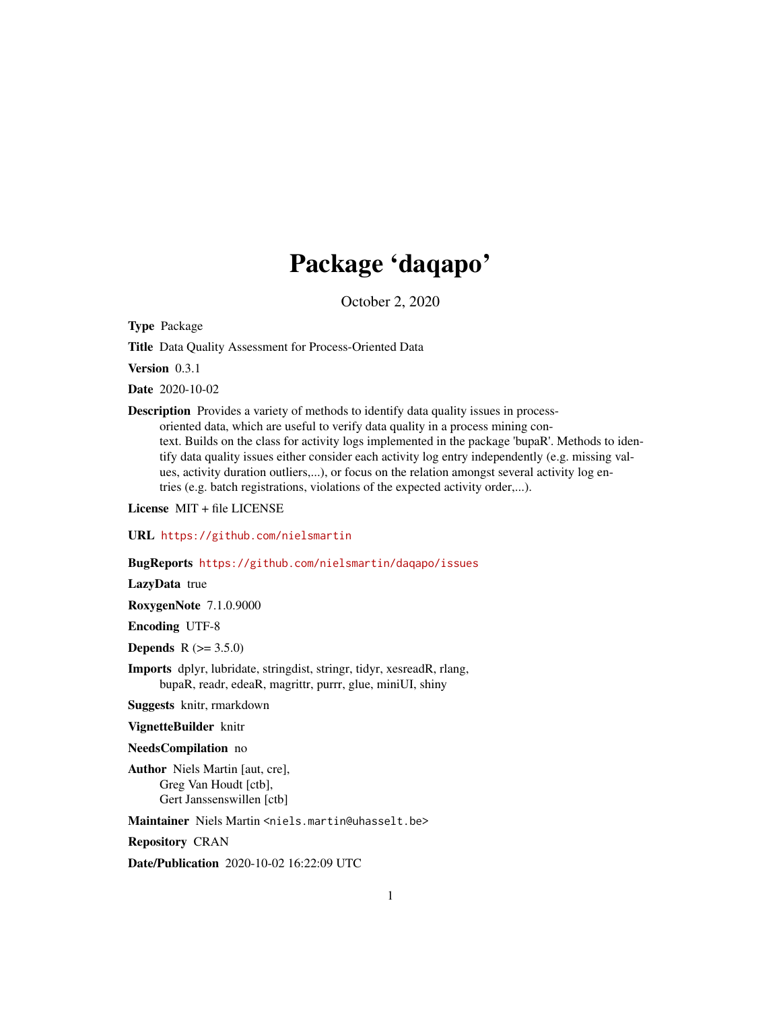# Package 'daqapo'

October 2, 2020

Type Package

Title Data Quality Assessment for Process-Oriented Data

Version 0.3.1

Date 2020-10-02

Description Provides a variety of methods to identify data quality issues in processoriented data, which are useful to verify data quality in a process mining context. Builds on the class for activity logs implemented in the package 'bupaR'. Methods to identify data quality issues either consider each activity log entry independently (e.g. missing values, activity duration outliers,...), or focus on the relation amongst several activity log entries (e.g. batch registrations, violations of the expected activity order,...).

License MIT + file LICENSE

URL <https://github.com/nielsmartin>

BugReports <https://github.com/nielsmartin/daqapo/issues>

LazyData true

RoxygenNote 7.1.0.9000

Encoding UTF-8

**Depends** R  $(>= 3.5.0)$ 

Imports dplyr, lubridate, stringdist, stringr, tidyr, xesreadR, rlang, bupaR, readr, edeaR, magrittr, purrr, glue, miniUI, shiny

Suggests knitr, rmarkdown

VignetteBuilder knitr

NeedsCompilation no

Author Niels Martin [aut, cre], Greg Van Houdt [ctb], Gert Janssenswillen [ctb]

Maintainer Niels Martin <niels.martin@uhasselt.be>

Repository CRAN

Date/Publication 2020-10-02 16:22:09 UTC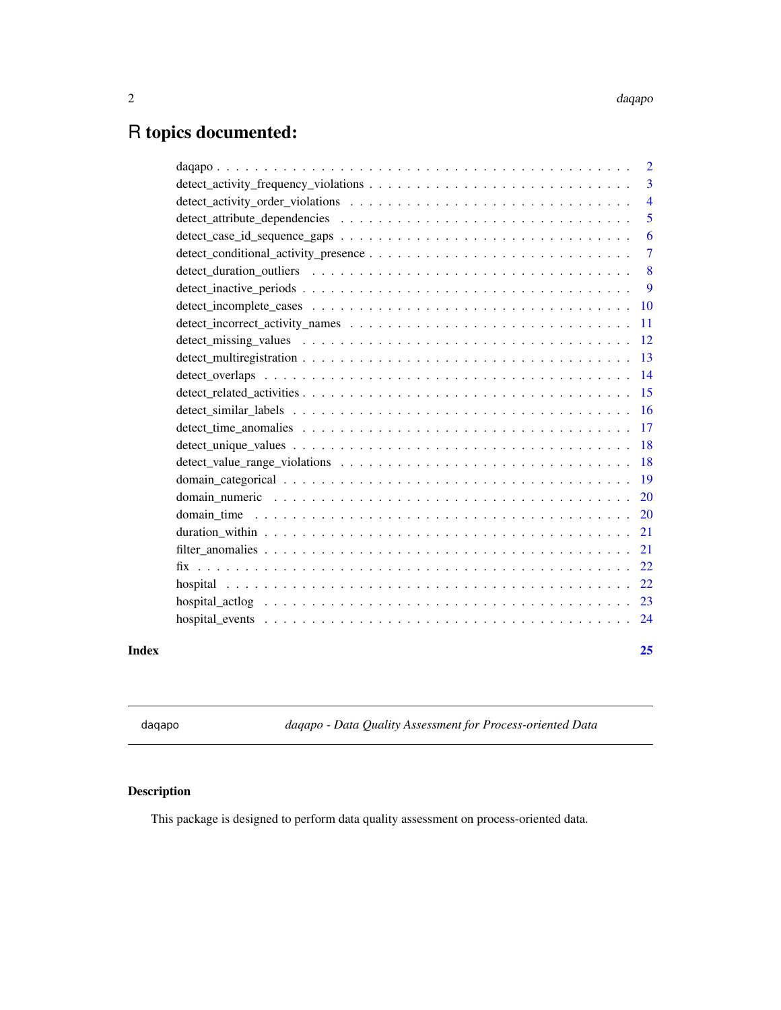#### <span id="page-1-0"></span>2 daqapo ay kalendar kasuwa ay katalog asl nashrida ay kasuwa ay kasuwa ay kasuwa ay kasuwa ay kasuwa ay kasuwa

## R topics documented:

|       | 5  |
|-------|----|
|       | 6  |
|       |    |
|       |    |
|       |    |
|       |    |
|       |    |
|       |    |
|       |    |
|       |    |
|       |    |
|       |    |
|       |    |
|       |    |
|       |    |
|       |    |
|       |    |
|       |    |
|       |    |
|       |    |
|       |    |
|       |    |
|       |    |
|       |    |
| Index | 25 |

daqapo *daqapo - Data Quality Assessment for Process-oriented Data*

### Description

This package is designed to perform data quality assessment on process-oriented data.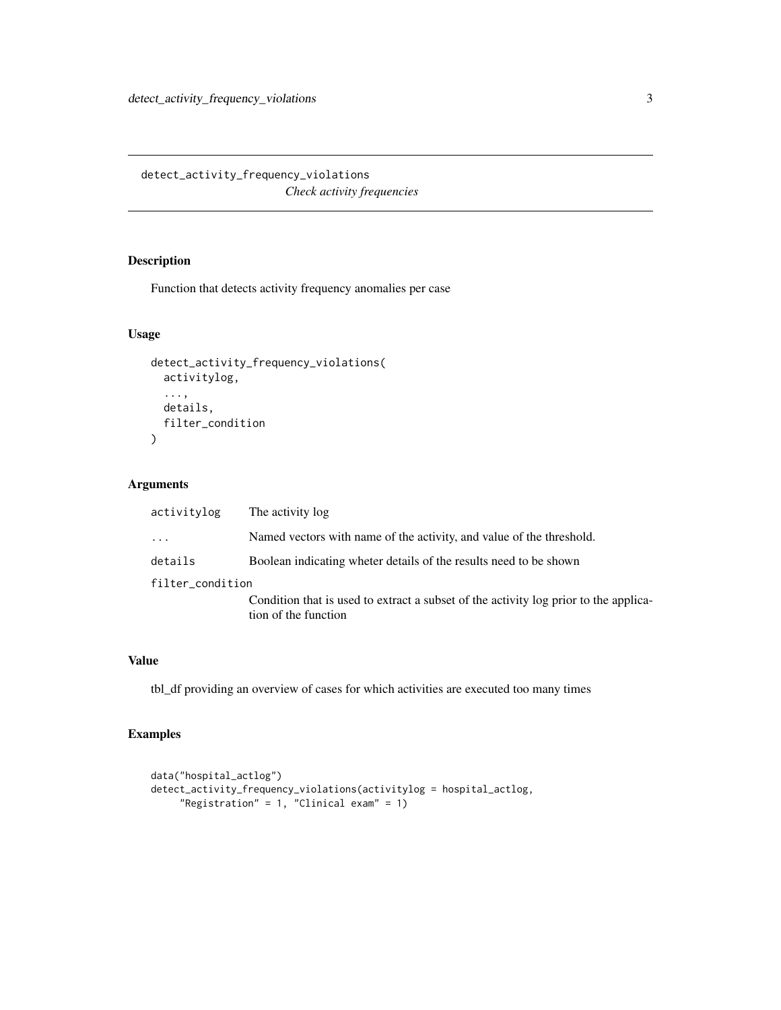<span id="page-2-0"></span>detect\_activity\_frequency\_violations *Check activity frequencies*

#### Description

Function that detects activity frequency anomalies per case

#### Usage

```
detect_activity_frequency_violations(
  activitylog,
  ...,
 details,
 filter_condition
)
```
#### Arguments

| activitylog         | The activity log                                                                                             |
|---------------------|--------------------------------------------------------------------------------------------------------------|
| $\cdot \cdot \cdot$ | Named vectors with name of the activity, and value of the threshold.                                         |
| details             | Boolean indicating wheter details of the results need to be shown                                            |
| filter_condition    |                                                                                                              |
|                     | Condition that is used to extract a subset of the activity log prior to the applica-<br>tion of the function |
|                     |                                                                                                              |

#### Value

tbl\_df providing an overview of cases for which activities are executed too many times

```
data("hospital_actlog")
detect_activity_frequency_violations(activitylog = hospital_actlog,
     "Registration" = 1, "Clinical exam" = 1)
```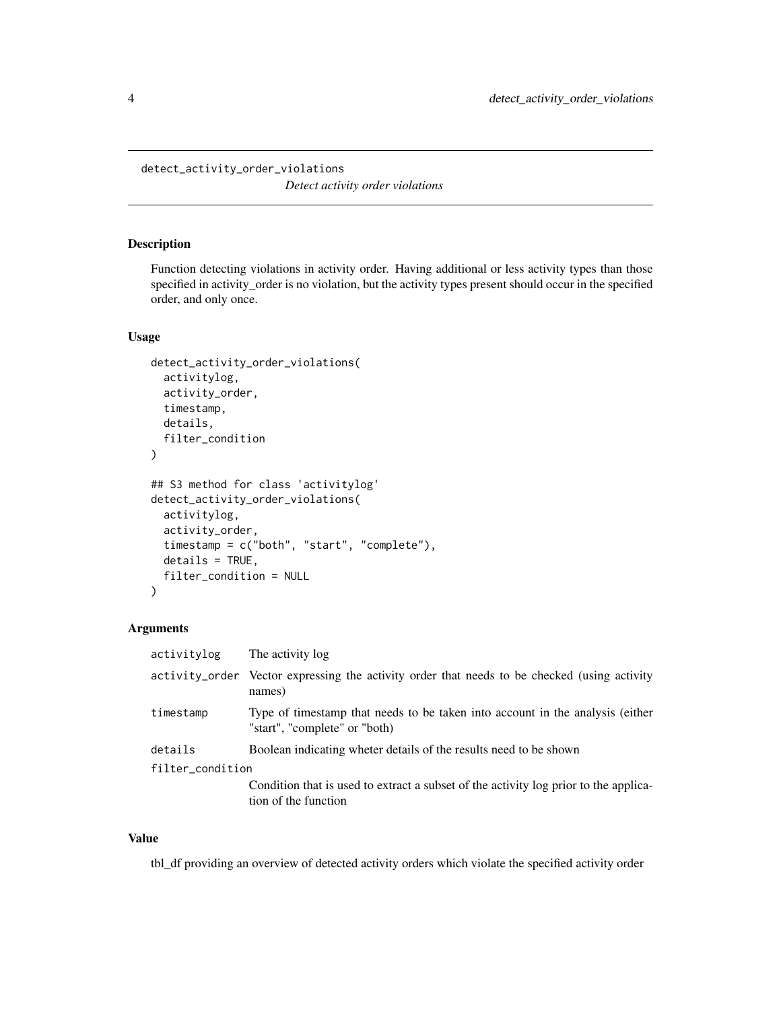<span id="page-3-0"></span>detect\_activity\_order\_violations *Detect activity order violations*

#### Description

Function detecting violations in activity order. Having additional or less activity types than those specified in activity\_order is no violation, but the activity types present should occur in the specified order, and only once.

#### Usage

```
detect_activity_order_violations(
  activitylog,
  activity_order,
  timestamp,
  details,
  filter_condition
)
## S3 method for class 'activitylog'
detect_activity_order_violations(
  activitylog,
  activity_order,
  timestamp = c("both", "start", "complete"),
  details = TRUE,
  filter_condition = NULL
)
```
#### Arguments

| activitylog      | The activity log                                                                                               |
|------------------|----------------------------------------------------------------------------------------------------------------|
|                  | activity_order Vector expressing the activity order that needs to be checked (using activity<br>names)         |
| timestamp        | Type of timestamp that needs to be taken into account in the analysis (either<br>"start", "complete" or "both) |
| details          | Boolean indicating wheter details of the results need to be shown                                              |
| filter_condition |                                                                                                                |
|                  | Condition that is used to extract a subset of the activity log prior to the applica-<br>tion of the function   |

#### Value

tbl\_df providing an overview of detected activity orders which violate the specified activity order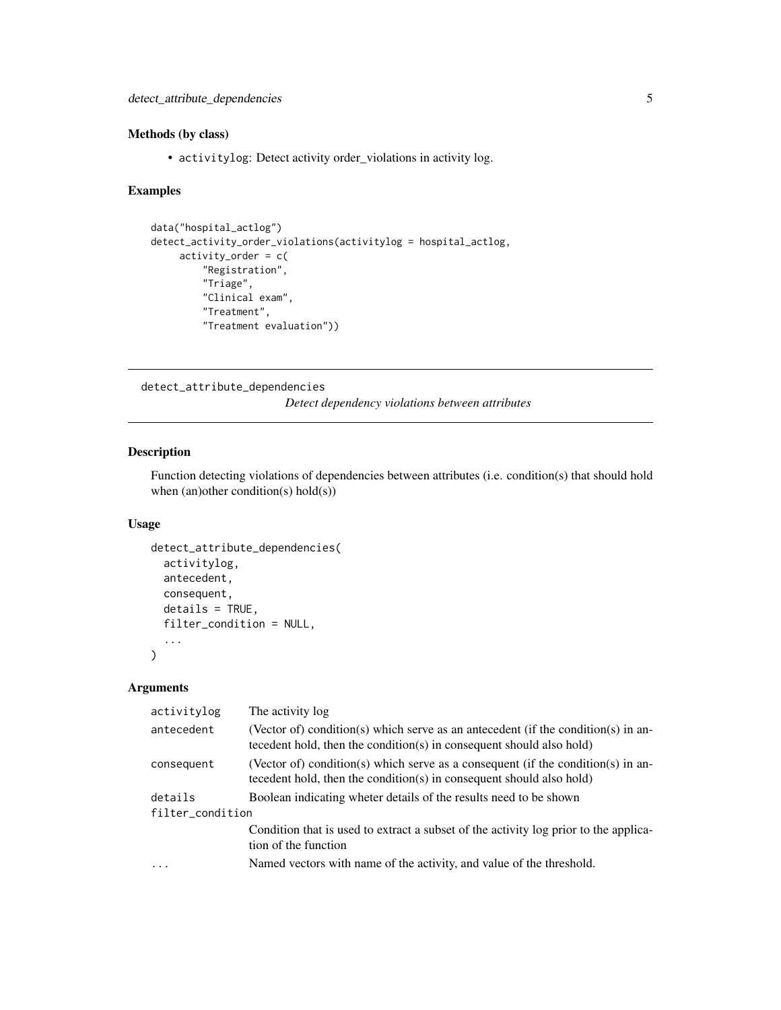#### <span id="page-4-0"></span>Methods (by class)

• activitylog: Detect activity order\_violations in activity log.

#### Examples

```
data("hospital_actlog")
detect_activity_order_violations(activitylog = hospital_actlog,
    activity-order = c("Registration",
         "Triage",
         "Clinical exam",
         "Treatment",
         "Treatment evaluation"))
```
detect\_attribute\_dependencies

*Detect dependency violations between attributes*

#### Description

Function detecting violations of dependencies between attributes (i.e. condition(s) that should hold when (an)other condition(s) hold(s))

#### Usage

```
detect_attribute_dependencies(
  activitylog,
  antecedent,
 consequent,
  details = TRUE,
  filter_condition = NULL,
  ...
)
```
#### Arguments

| activitylog      | The activity log                                                                                                                                          |  |
|------------------|-----------------------------------------------------------------------------------------------------------------------------------------------------------|--|
| antecedent       | (Vector of) condition(s) which serve as an antecedent (if the condition(s) in an-<br>tecedent hold, then the condition(s) in consequent should also hold) |  |
| consequent       | (Vector of) condition(s) which serve as a consequent (if the condition(s) in an-<br>tecedent hold, then the condition(s) in consequent should also hold)  |  |
| details          | Boolean indicating wheter details of the results need to be shown                                                                                         |  |
| filter_condition |                                                                                                                                                           |  |
|                  | Condition that is used to extract a subset of the activity log prior to the applica-<br>tion of the function                                              |  |
| $\cdot$          | Named vectors with name of the activity, and value of the threshold.                                                                                      |  |
|                  |                                                                                                                                                           |  |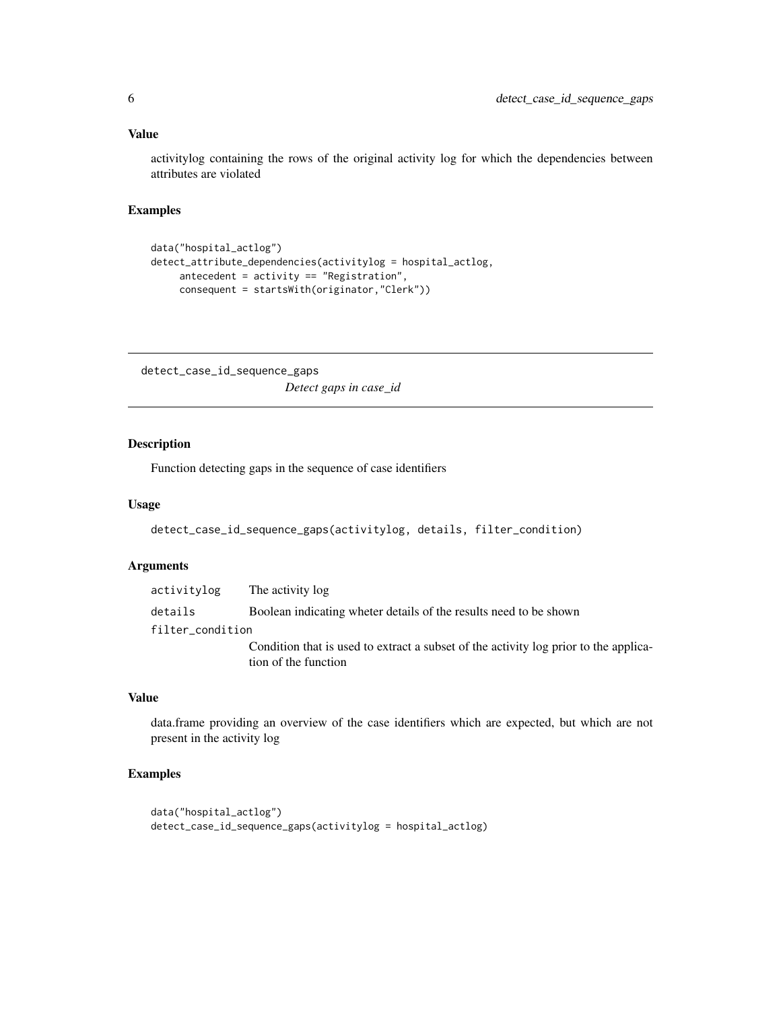#### <span id="page-5-0"></span>Value

activitylog containing the rows of the original activity log for which the dependencies between attributes are violated

#### Examples

```
data("hospital_actlog")
detect_attribute_dependencies(activitylog = hospital_actlog,
     antecedent = activity == "Registration",
    consequent = startsWith(originator,"Clerk"))
```
detect\_case\_id\_sequence\_gaps *Detect gaps in case\_id*

#### Description

Function detecting gaps in the sequence of case identifiers

#### Usage

```
detect_case_id_sequence_gaps(activitylog, details, filter_condition)
```
#### Arguments

| activitylog      | The activity log                                                                                             |
|------------------|--------------------------------------------------------------------------------------------------------------|
| details          | Boolean indicating wheter details of the results need to be shown                                            |
| filter_condition |                                                                                                              |
|                  | Condition that is used to extract a subset of the activity log prior to the applica-<br>tion of the function |

#### Value

data.frame providing an overview of the case identifiers which are expected, but which are not present in the activity log

```
data("hospital_actlog")
detect_case_id_sequence_gaps(activitylog = hospital_actlog)
```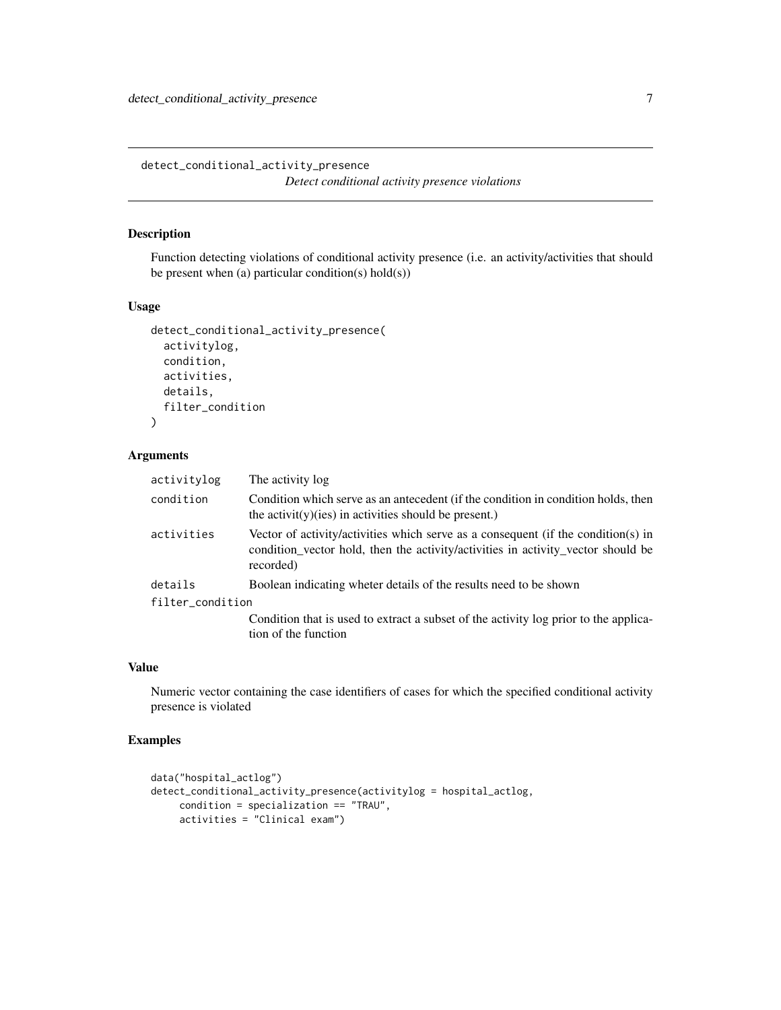<span id="page-6-0"></span>detect\_conditional\_activity\_presence *Detect conditional activity presence violations*

#### Description

Function detecting violations of conditional activity presence (i.e. an activity/activities that should be present when (a) particular condition(s) hold(s))

#### Usage

```
detect_conditional_activity_presence(
  activitylog,
  condition,
  activities,
  details,
  filter_condition
\mathcal{L}
```
#### Arguments

| The activity log                                                                                                                                                                   |
|------------------------------------------------------------------------------------------------------------------------------------------------------------------------------------|
| Condition which serve as an antecedent (if the condition in condition holds, then<br>the activity) (ies) in activities should be present.)                                         |
| Vector of activity/activities which serve as a consequent (if the condition(s) in<br>condition_vector hold, then the activity/activities in activity_vector should be<br>recorded) |
| Boolean indicating wheter details of the results need to be shown                                                                                                                  |
| filter_condition                                                                                                                                                                   |
| Condition that is used to extract a subset of the activity log prior to the applica-<br>tion of the function                                                                       |
|                                                                                                                                                                                    |

#### Value

Numeric vector containing the case identifiers of cases for which the specified conditional activity presence is violated

```
data("hospital_actlog")
detect_conditional_activity_presence(activitylog = hospital_actlog,
     condition = specialization == "TRAU",
     activities = "Clinical exam")
```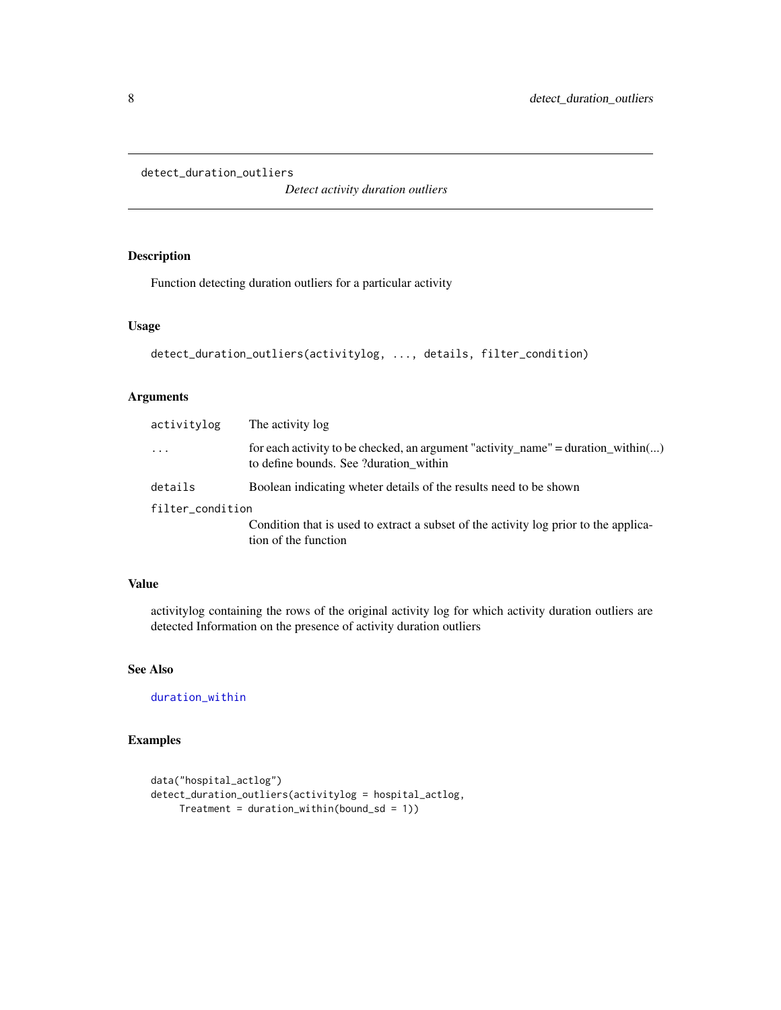```
detect_duration_outliers
```
*Detect activity duration outliers*

#### Description

Function detecting duration outliers for a particular activity

#### Usage

```
detect_duration_outliers(activitylog, ..., details, filter_condition)
```
#### Arguments

| activitylog      | The activity log                                                                                                           |
|------------------|----------------------------------------------------------------------------------------------------------------------------|
| $\cdot$          | for each activity to be checked, an argument "activity_name" = duration_within()<br>to define bounds. See ?duration within |
| details          | Boolean indicating wheter details of the results need to be shown                                                          |
| filter_condition |                                                                                                                            |
|                  | Condition that is used to extract a subset of the activity log prior to the applica-<br>tion of the function               |
|                  |                                                                                                                            |

#### Value

activitylog containing the rows of the original activity log for which activity duration outliers are detected Information on the presence of activity duration outliers

#### See Also

[duration\\_within](#page-20-1)

```
data("hospital_actlog")
detect_duration_outliers(activitylog = hospital_actlog,
     Treatment = duration_within(bound_s d = 1))
```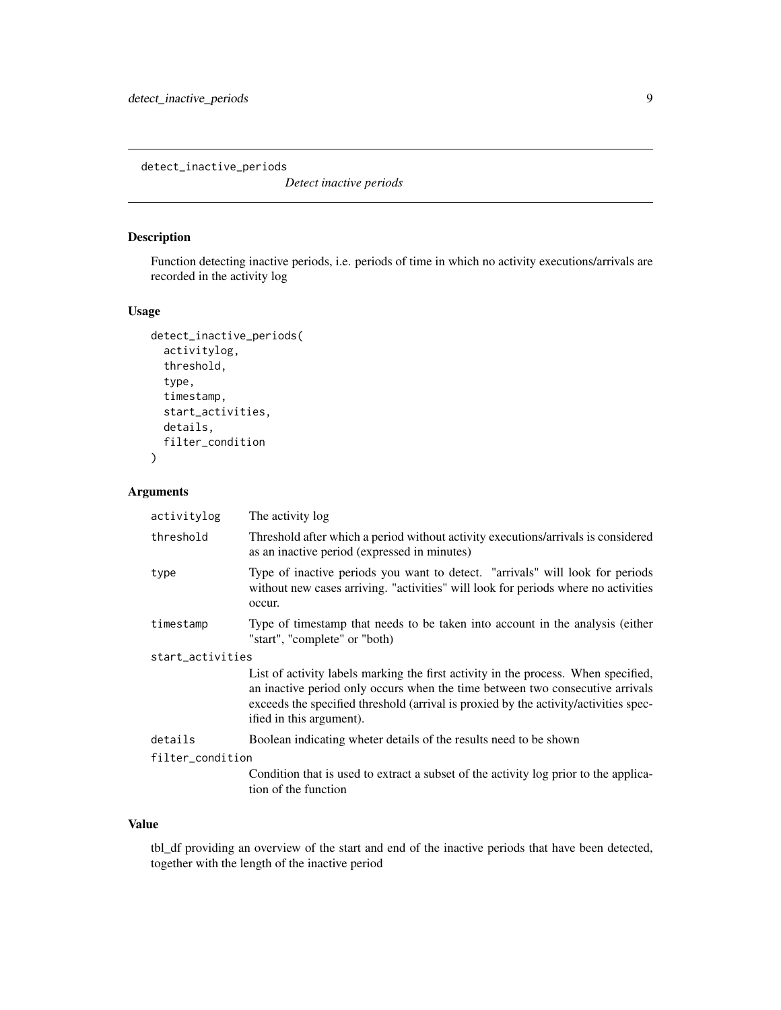<span id="page-8-0"></span>detect\_inactive\_periods

*Detect inactive periods*

#### Description

Function detecting inactive periods, i.e. periods of time in which no activity executions/arrivals are recorded in the activity log

#### Usage

```
detect_inactive_periods(
  activitylog,
  threshold,
  type,
  timestamp,
  start_activities,
  details,
  filter_condition
)
```
#### Arguments

| activitylog      | The activity log                                                                                                                                                                                                                                                                        |  |
|------------------|-----------------------------------------------------------------------------------------------------------------------------------------------------------------------------------------------------------------------------------------------------------------------------------------|--|
| threshold        | Threshold after which a period without activity executions/arrivals is considered<br>as an inactive period (expressed in minutes)                                                                                                                                                       |  |
| type             | Type of inactive periods you want to detect. "arrivals" will look for periods<br>without new cases arriving. "activities" will look for periods where no activities<br>occur.                                                                                                           |  |
| timestamp        | Type of timestamp that needs to be taken into account in the analysis (either<br>"start", "complete" or "both)                                                                                                                                                                          |  |
| start_activities |                                                                                                                                                                                                                                                                                         |  |
|                  | List of activity labels marking the first activity in the process. When specified,<br>an inactive period only occurs when the time between two consecutive arrivals<br>exceeds the specified threshold (arrival is proxied by the activity/activities spec-<br>ified in this argument). |  |
| details          | Boolean indicating wheter details of the results need to be shown                                                                                                                                                                                                                       |  |
| filter_condition |                                                                                                                                                                                                                                                                                         |  |
|                  | Condition that is used to extract a subset of the activity log prior to the applica-<br>tion of the function                                                                                                                                                                            |  |

#### Value

tbl\_df providing an overview of the start and end of the inactive periods that have been detected, together with the length of the inactive period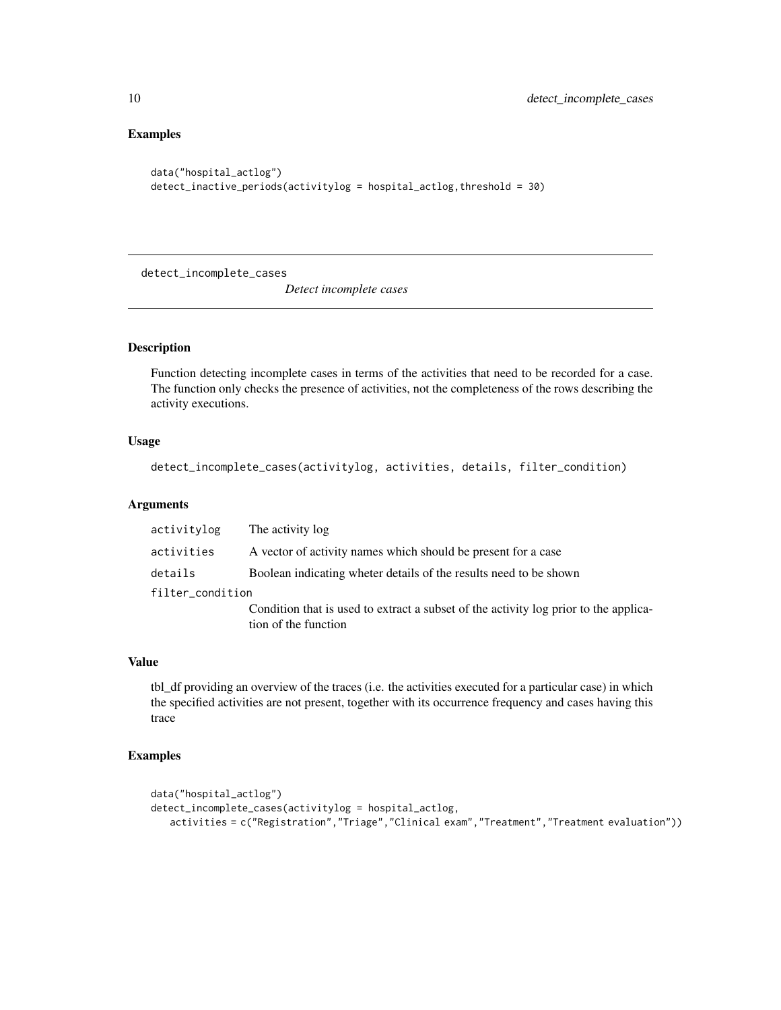#### Examples

```
data("hospital_actlog")
detect_inactive_periods(activitylog = hospital_actlog,threshold = 30)
```
detect\_incomplete\_cases

*Detect incomplete cases*

#### Description

Function detecting incomplete cases in terms of the activities that need to be recorded for a case. The function only checks the presence of activities, not the completeness of the rows describing the activity executions.

#### Usage

```
detect_incomplete_cases(activitylog, activities, details, filter_condition)
```
#### Arguments

| activitylog      | The activity log                                                                                             |
|------------------|--------------------------------------------------------------------------------------------------------------|
| activities       | A vector of activity names which should be present for a case                                                |
| details          | Boolean indicating wheter details of the results need to be shown                                            |
| filter_condition |                                                                                                              |
|                  | Condition that is used to extract a subset of the activity log prior to the applica-<br>tion of the function |

#### Value

tbl\_df providing an overview of the traces (i.e. the activities executed for a particular case) in which the specified activities are not present, together with its occurrence frequency and cases having this trace

```
data("hospital_actlog")
detect_incomplete_cases(activitylog = hospital_actlog,
   activities = c("Registration","Triage","Clinical exam","Treatment","Treatment evaluation"))
```
<span id="page-9-0"></span>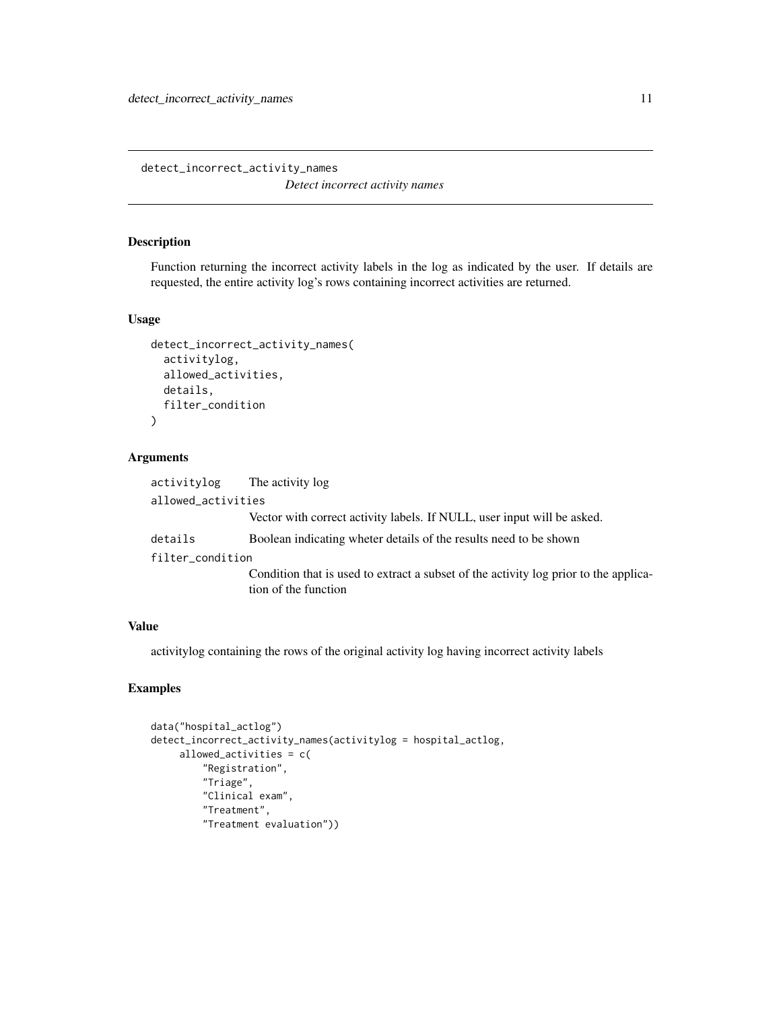<span id="page-10-0"></span>detect\_incorrect\_activity\_names *Detect incorrect activity names*

#### Description

Function returning the incorrect activity labels in the log as indicated by the user. If details are requested, the entire activity log's rows containing incorrect activities are returned.

#### Usage

```
detect_incorrect_activity_names(
  activitylog,
  allowed_activities,
  details,
  filter_condition
\lambda
```
#### Arguments

| The activity log                                                                                             |
|--------------------------------------------------------------------------------------------------------------|
| allowed_activities                                                                                           |
| Vector with correct activity labels. If NULL, user input will be asked.                                      |
| Boolean indicating wheter details of the results need to be shown                                            |
| filter_condition                                                                                             |
| Condition that is used to extract a subset of the activity log prior to the applica-<br>tion of the function |
|                                                                                                              |

#### Value

activitylog containing the rows of the original activity log having incorrect activity labels

```
data("hospital_actlog")
detect_incorrect_activity_names(activitylog = hospital_actlog,
     allowed_activities = c(
         "Registration",
         "Triage",
         "Clinical exam",
         "Treatment",
         "Treatment evaluation"))
```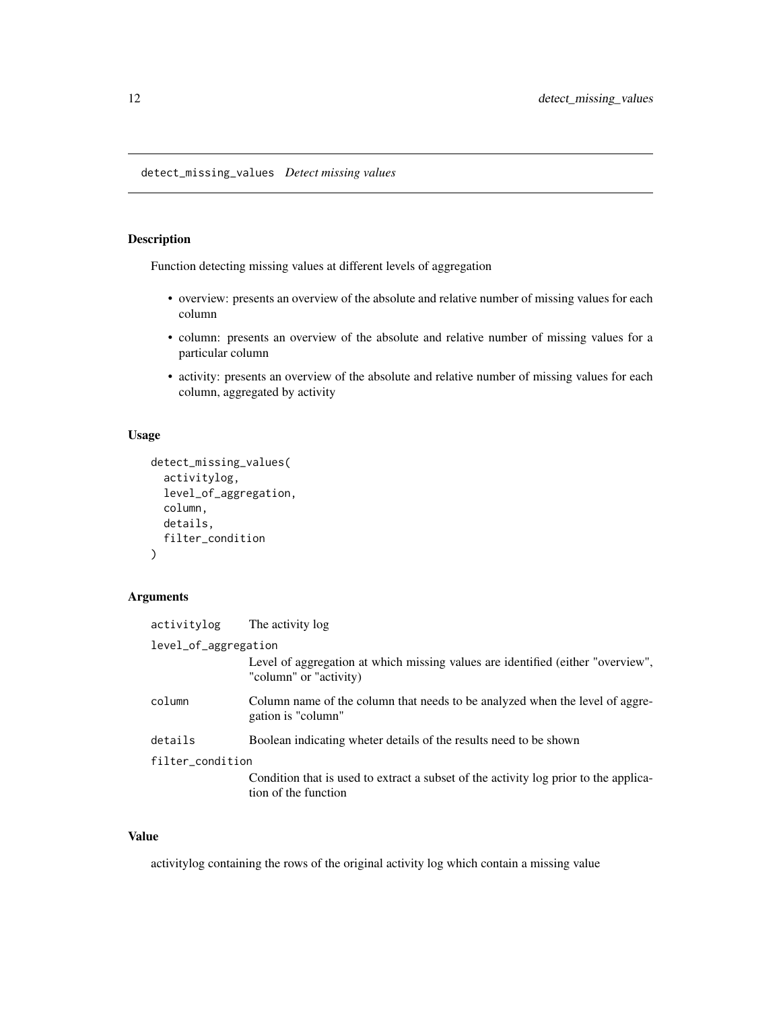<span id="page-11-0"></span>detect\_missing\_values *Detect missing values*

#### Description

Function detecting missing values at different levels of aggregation

- overview: presents an overview of the absolute and relative number of missing values for each column
- column: presents an overview of the absolute and relative number of missing values for a particular column
- activity: presents an overview of the absolute and relative number of missing values for each column, aggregated by activity

#### Usage

```
detect_missing_values(
  activitylog,
  level_of_aggregation,
  column,
  details,
  filter_condition
\mathcal{L}
```
#### Arguments

| activitylog          | The activity log                                                                                             |  |
|----------------------|--------------------------------------------------------------------------------------------------------------|--|
| level_of_aggregation |                                                                                                              |  |
|                      | Level of aggregation at which missing values are identified (either "overview",<br>"column" or "activity)    |  |
| column               | Column name of the column that needs to be analyzed when the level of aggre-<br>gation is "column"           |  |
| details              | Boolean indicating wheter details of the results need to be shown                                            |  |
| filter_condition     |                                                                                                              |  |
|                      | Condition that is used to extract a subset of the activity log prior to the applica-<br>tion of the function |  |
|                      |                                                                                                              |  |

#### Value

activitylog containing the rows of the original activity log which contain a missing value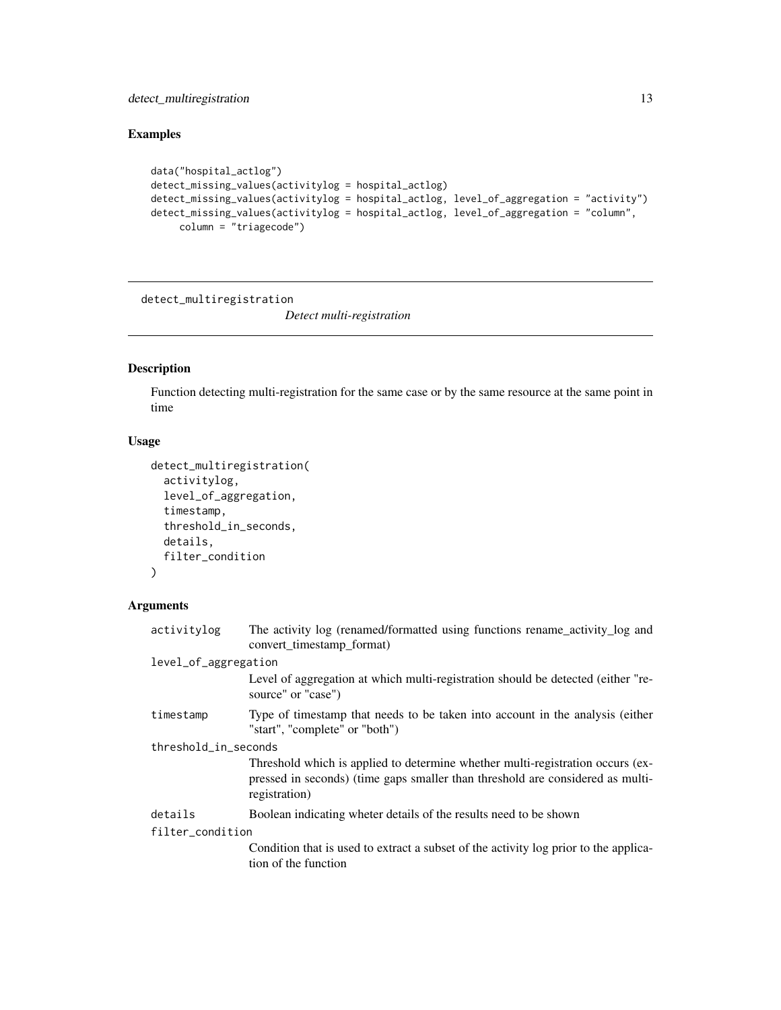#### <span id="page-12-0"></span>detect\_multiregistration 13

#### Examples

```
data("hospital_actlog")
detect_missing_values(activitylog = hospital_actlog)
detect_missing_values(activitylog = hospital_actlog, level_of_aggregation = "activity")
detect_missing_values(activitylog = hospital_actlog, level_of_aggregation = "column",
    column = "triagecode")
```
detect\_multiregistration

*Detect multi-registration*

#### Description

Function detecting multi-registration for the same case or by the same resource at the same point in time

#### Usage

```
detect_multiregistration(
  activitylog,
  level_of_aggregation,
  timestamp,
  threshold_in_seconds,
  details,
  filter_condition
)
```
#### Arguments

| The activity log (renamed/formatted using functions rename_activity_log and<br>convert_timestamp_format)                                                                          |  |  |
|-----------------------------------------------------------------------------------------------------------------------------------------------------------------------------------|--|--|
| level_of_aggregation                                                                                                                                                              |  |  |
| Level of aggregation at which multi-registration should be detected (either "re-<br>source" or "case")                                                                            |  |  |
| Type of timestamp that needs to be taken into account in the analysis (either<br>"start", "complete" or "both")                                                                   |  |  |
| threshold_in_seconds                                                                                                                                                              |  |  |
| Threshold which is applied to determine whether multi-registration occurs (ex-<br>pressed in seconds) (time gaps smaller than threshold are considered as multi-<br>registration) |  |  |
| Boolean indicating wheter details of the results need to be shown                                                                                                                 |  |  |
| filter_condition                                                                                                                                                                  |  |  |
| Condition that is used to extract a subset of the activity log prior to the applica-<br>tion of the function                                                                      |  |  |
|                                                                                                                                                                                   |  |  |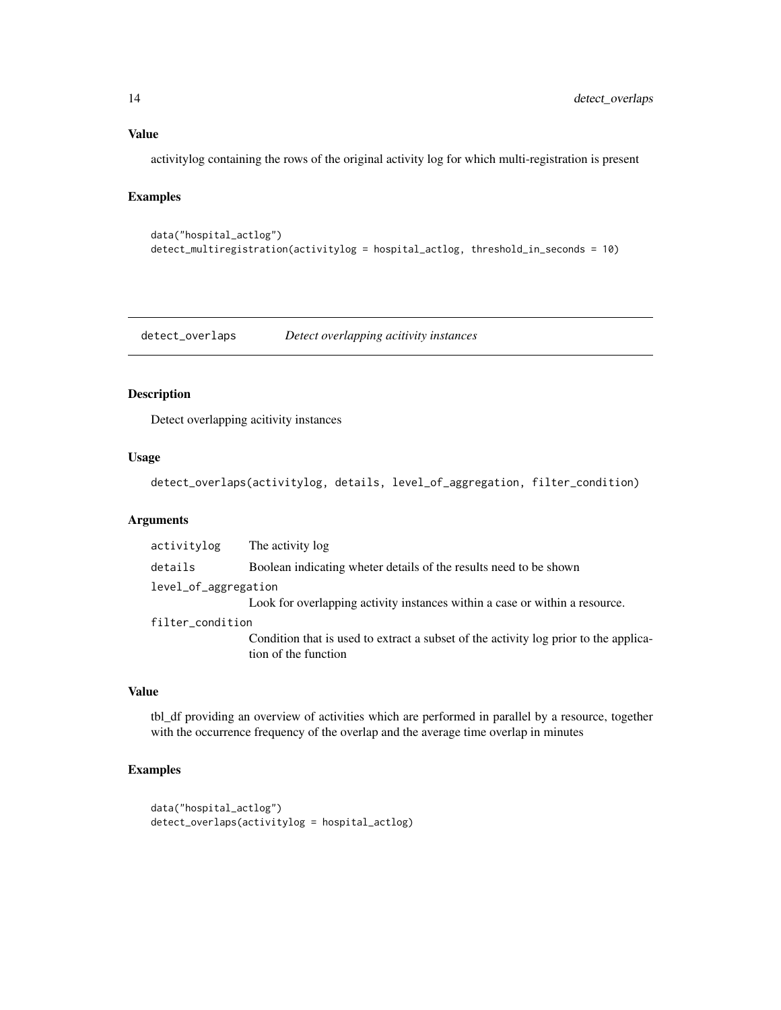#### Value

activitylog containing the rows of the original activity log for which multi-registration is present

#### Examples

```
data("hospital_actlog")
detect_multiregistration(activitylog = hospital_actlog, threshold_in_seconds = 10)
```
detect\_overlaps *Detect overlapping acitivity instances*

#### Description

Detect overlapping acitivity instances

#### Usage

detect\_overlaps(activitylog, details, level\_of\_aggregation, filter\_condition)

#### Arguments

| activitylog          | The activity log                                                                                             |
|----------------------|--------------------------------------------------------------------------------------------------------------|
| details              | Boolean indicating wheter details of the results need to be shown                                            |
| level_of_aggregation |                                                                                                              |
|                      | Look for overlapping activity instances within a case or within a resource.                                  |
| filter_condition     |                                                                                                              |
|                      | Condition that is used to extract a subset of the activity log prior to the applica-<br>tion of the function |
|                      |                                                                                                              |

#### Value

tbl\_df providing an overview of activities which are performed in parallel by a resource, together with the occurrence frequency of the overlap and the average time overlap in minutes

```
data("hospital_actlog")
detect_overlaps(activitylog = hospital_actlog)
```
<span id="page-13-0"></span>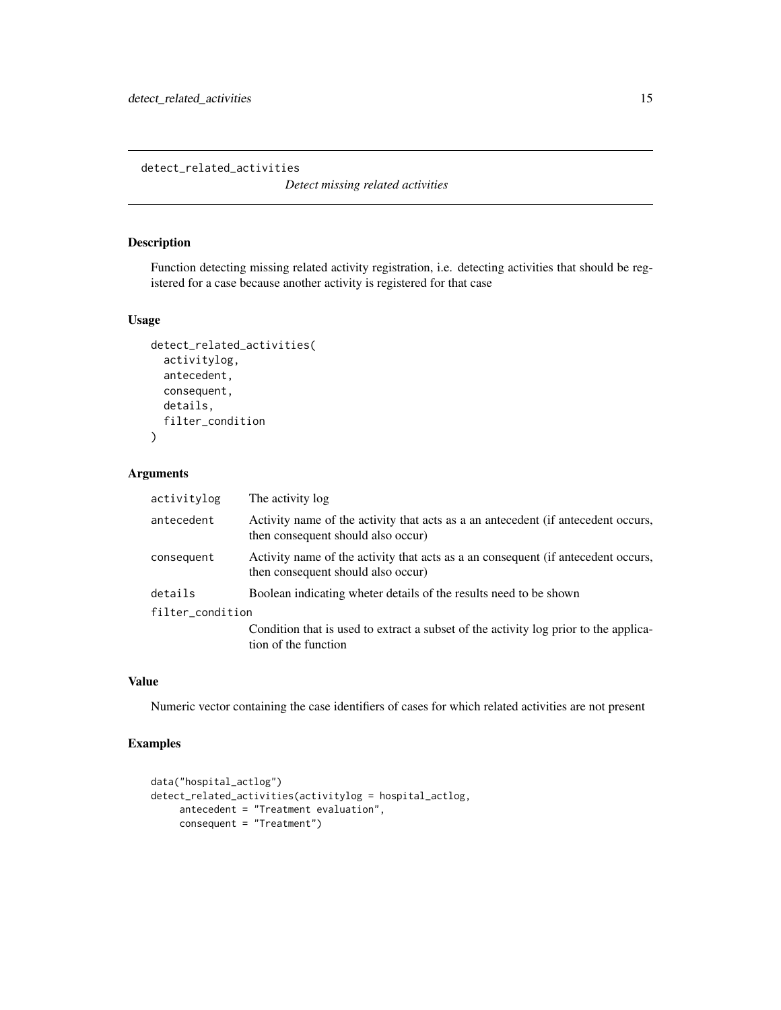<span id="page-14-0"></span>detect\_related\_activities

*Detect missing related activities*

#### Description

Function detecting missing related activity registration, i.e. detecting activities that should be registered for a case because another activity is registered for that case

#### Usage

```
detect_related_activities(
  activitylog,
  antecedent,
  consequent,
  details,
  filter_condition
)
```
#### Arguments

| activitylog      | The activity log                                                                                                        |
|------------------|-------------------------------------------------------------------------------------------------------------------------|
| antecedent       | Activity name of the activity that acts as a an antecedent (if antecedent occurs,<br>then consequent should also occur) |
| consequent       | Activity name of the activity that acts as a an consequent (if antecedent occurs,<br>then consequent should also occur) |
| details          | Boolean indicating wheter details of the results need to be shown                                                       |
| filter_condition |                                                                                                                         |
|                  | Condition that is used to extract a subset of the activity log prior to the applica-<br>tion of the function            |

#### Value

Numeric vector containing the case identifiers of cases for which related activities are not present

```
data("hospital_actlog")
detect_related_activities(activitylog = hospital_actlog,
    antecedent = "Treatment evaluation",
    consequent = "Treatment")
```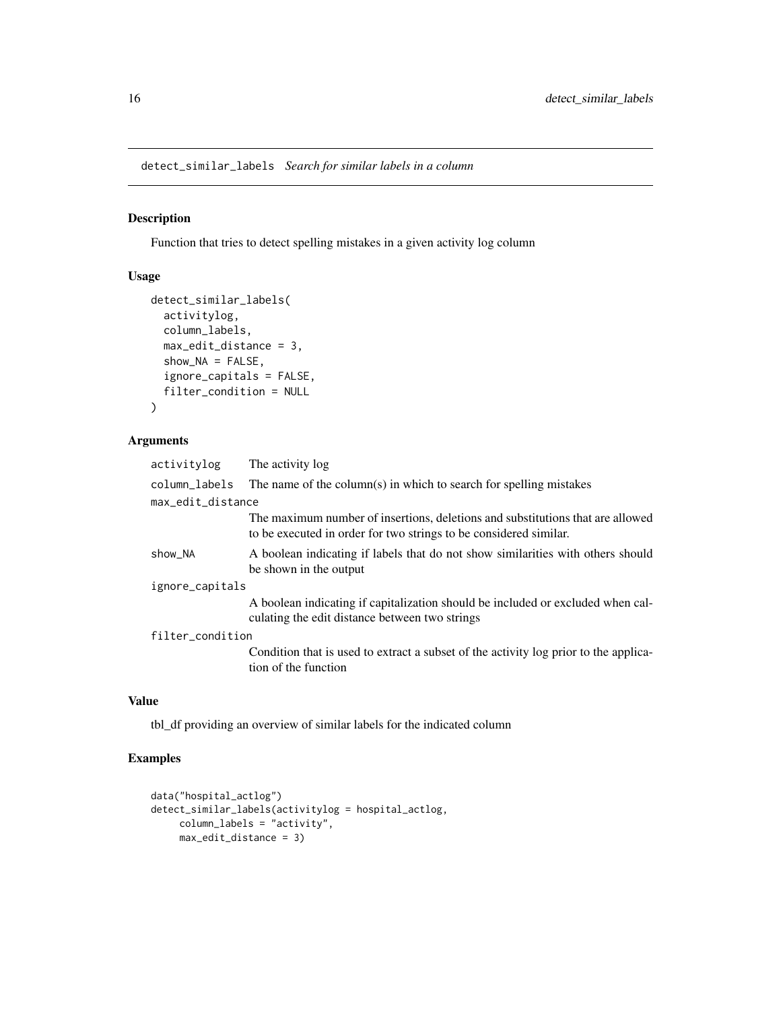<span id="page-15-0"></span>detect\_similar\_labels *Search for similar labels in a column*

#### Description

Function that tries to detect spelling mistakes in a given activity log column

#### Usage

```
detect_similar_labels(
  activitylog,
  column_labels,
 max_edit_distance = 3,
  show_NA = FALSE,
  ignore_capitals = FALSE,
  filter_condition = NULL
)
```
#### Arguments

| activitylog       | The activity log                                                                                                                                    |
|-------------------|-----------------------------------------------------------------------------------------------------------------------------------------------------|
| column_labels     | The name of the column(s) in which to search for spelling mistakes                                                                                  |
| max_edit_distance |                                                                                                                                                     |
|                   | The maximum number of insertions, deletions and substitutions that are allowed<br>to be executed in order for two strings to be considered similar. |
| show_NA           | A boolean indicating if labels that do not show similarities with others should<br>be shown in the output                                           |
| ignore_capitals   |                                                                                                                                                     |
|                   | A boolean indicating if capitalization should be included or excluded when cal-<br>culating the edit distance between two strings                   |
| filter_condition  |                                                                                                                                                     |
|                   | Condition that is used to extract a subset of the activity log prior to the applica-<br>tion of the function                                        |

#### Value

tbl\_df providing an overview of similar labels for the indicated column

```
data("hospital_actlog")
detect_similar_labels(activitylog = hospital_actlog,
    column_labels = "activity",
    max_edit_distance = 3)
```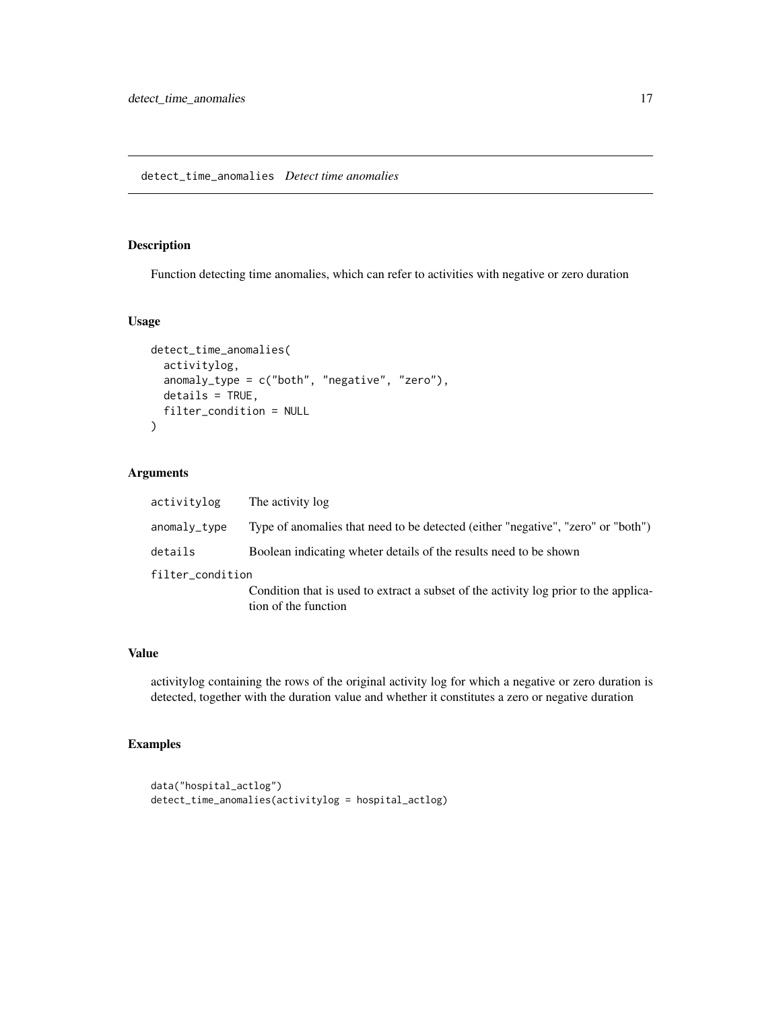#### <span id="page-16-0"></span>Description

Function detecting time anomalies, which can refer to activities with negative or zero duration

#### Usage

```
detect_time_anomalies(
  activitylog,
  anomaly_type = c("both", "negative", "zero"),
 details = TRUE,
  filter_condition = NULL
)
```
#### Arguments

| activitylog      | The activity log                                                                                             |
|------------------|--------------------------------------------------------------------------------------------------------------|
| anomaly_type     | Type of anomalies that need to be detected (either "negative", "zero" or "both")                             |
| details          | Boolean indicating wheter details of the results need to be shown                                            |
| filter_condition |                                                                                                              |
|                  | Condition that is used to extract a subset of the activity log prior to the applica-<br>tion of the function |

#### Value

activitylog containing the rows of the original activity log for which a negative or zero duration is detected, together with the duration value and whether it constitutes a zero or negative duration

```
data("hospital_actlog")
detect_time_anomalies(activitylog = hospital_actlog)
```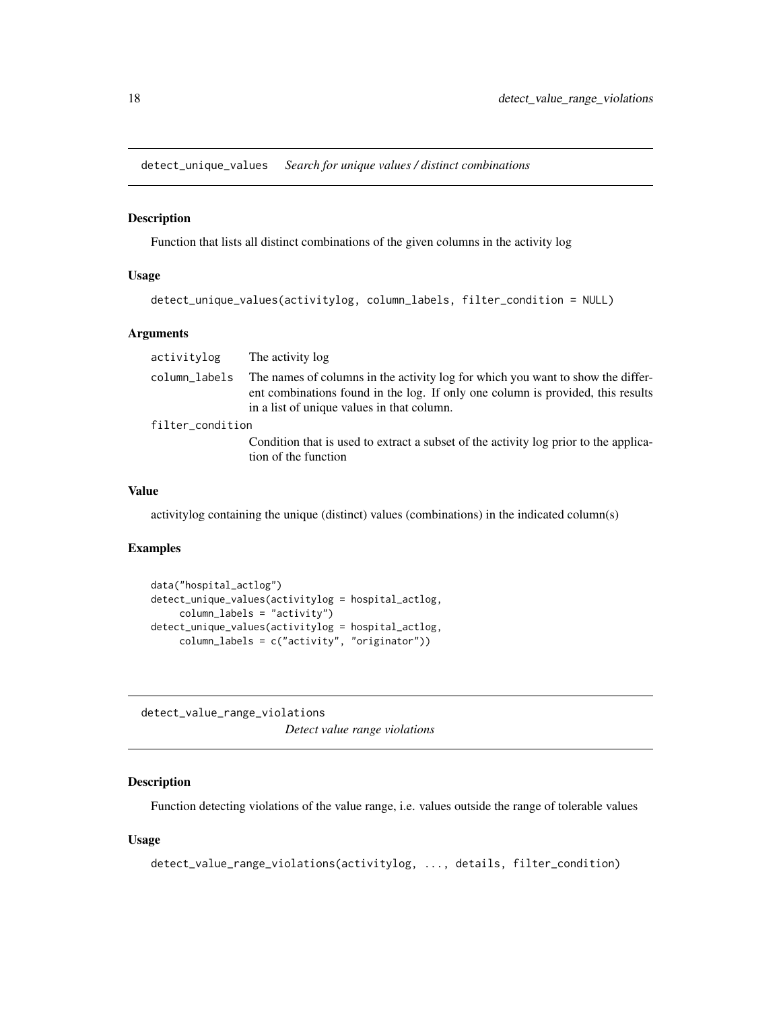<span id="page-17-0"></span>detect\_unique\_values *Search for unique values / distinct combinations*

#### Description

Function that lists all distinct combinations of the given columns in the activity log

#### Usage

```
detect_unique_values(activitylog, column_labels, filter_condition = NULL)
```
#### Arguments

| column labels<br>in a list of unique values in that column.<br>filter_condition<br>tion of the function | activitylog | The activity log                                                                                                                                                   |
|---------------------------------------------------------------------------------------------------------|-------------|--------------------------------------------------------------------------------------------------------------------------------------------------------------------|
|                                                                                                         |             | The names of columns in the activity log for which you want to show the differ-<br>ent combinations found in the log. If only one column is provided, this results |
|                                                                                                         |             |                                                                                                                                                                    |
|                                                                                                         |             | Condition that is used to extract a subset of the activity log prior to the applica-                                                                               |

#### Value

activitylog containing the unique (distinct) values (combinations) in the indicated column(s)

#### Examples

```
data("hospital_actlog")
detect_unique_values(activitylog = hospital_actlog,
     column_labels = "activity")
detect_unique_values(activitylog = hospital_actlog,
    column_labels = c("activity", "originator"))
```
<span id="page-17-1"></span>detect\_value\_range\_violations *Detect value range violations*

#### Description

Function detecting violations of the value range, i.e. values outside the range of tolerable values

#### Usage

```
detect_value_range_violations(activitylog, ..., details, filter_condition)
```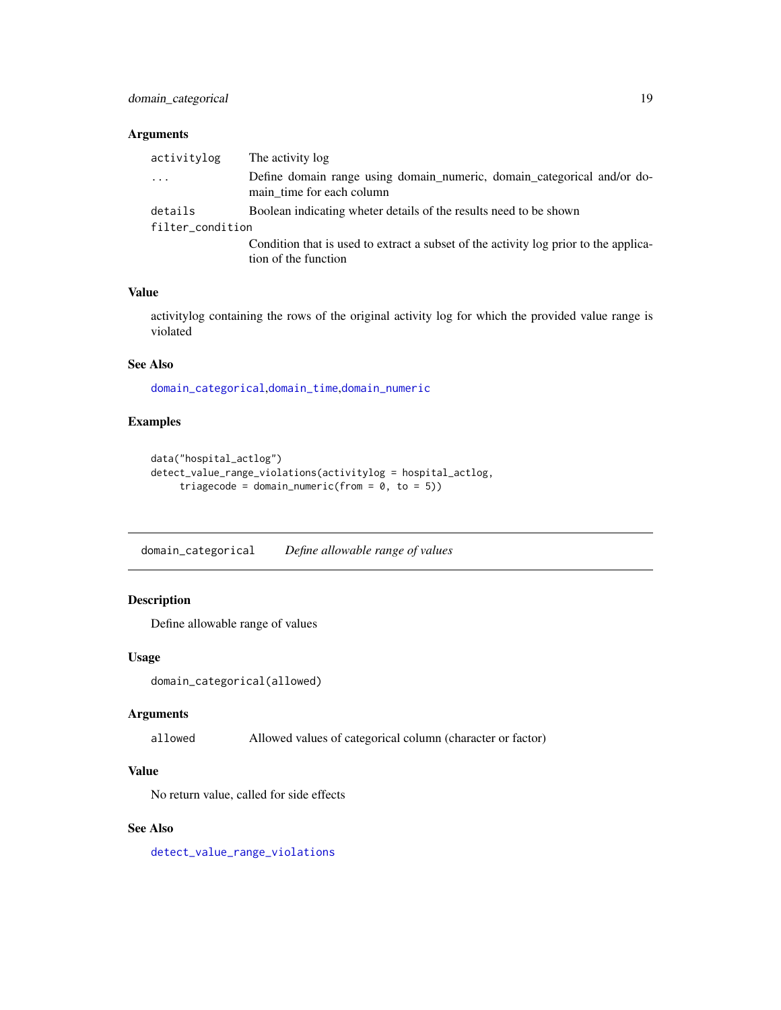#### <span id="page-18-0"></span>Arguments

| activitylog             | The activity log                                                                                             |
|-------------------------|--------------------------------------------------------------------------------------------------------------|
| $\cdot$ $\cdot$ $\cdot$ | Define domain range using domain numeric, domain categorical and/or do-<br>main time for each column         |
| details                 | Boolean indicating wheter details of the results need to be shown                                            |
| filter_condition        |                                                                                                              |
|                         | Condition that is used to extract a subset of the activity log prior to the applica-<br>tion of the function |

#### Value

activitylog containing the rows of the original activity log for which the provided value range is violated

#### See Also

[domain\\_categorical](#page-18-1),[domain\\_time](#page-19-1),[domain\\_numeric](#page-19-2)

#### Examples

```
data("hospital_actlog")
detect_value_range_violations(activitylog = hospital_actlog,
     triagecode = domain_numeric(from = 0, to = 5))
```
<span id="page-18-1"></span>domain\_categorical *Define allowable range of values*

#### Description

Define allowable range of values

#### Usage

domain\_categorical(allowed)

#### Arguments

allowed Allowed values of categorical column (character or factor)

#### Value

No return value, called for side effects

#### See Also

[detect\\_value\\_range\\_violations](#page-17-1)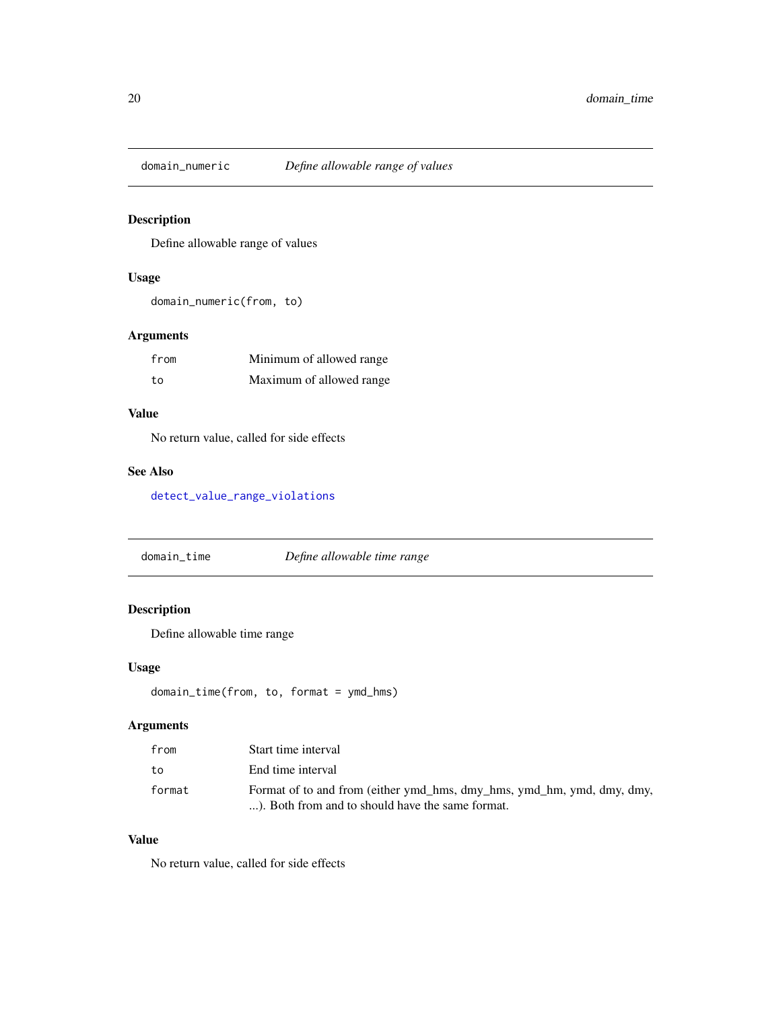<span id="page-19-2"></span><span id="page-19-0"></span>

#### Description

Define allowable range of values

#### Usage

domain\_numeric(from, to)

#### Arguments

| from | Minimum of allowed range |
|------|--------------------------|
| to   | Maximum of allowed range |

#### Value

No return value, called for side effects

#### See Also

[detect\\_value\\_range\\_violations](#page-17-1)

<span id="page-19-1"></span>domain\_time *Define allowable time range*

#### Description

Define allowable time range

#### Usage

```
domain_time(from, to, format = ymd_hms)
```
#### Arguments

| from   | Start time interval                                                                                                        |
|--------|----------------------------------------------------------------------------------------------------------------------------|
| to     | End time interval                                                                                                          |
| format | Format of to and from (either ymd_hms, dmy_hms, ymd_hm, ymd, dmy, dmy,<br>). Both from and to should have the same format. |

#### Value

No return value, called for side effects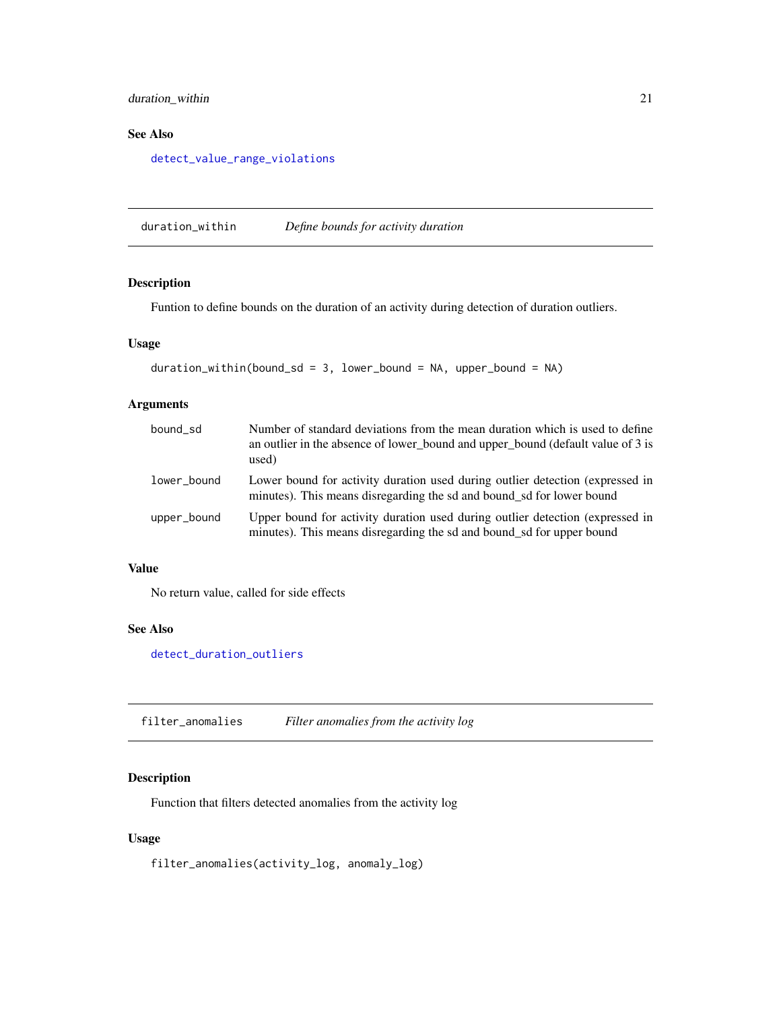#### <span id="page-20-0"></span>duration\_within 21

#### See Also

[detect\\_value\\_range\\_violations](#page-17-1)

<span id="page-20-1"></span>duration\_within *Define bounds for activity duration*

#### Description

Funtion to define bounds on the duration of an activity during detection of duration outliers.

#### Usage

```
duration_within(bound_sd = 3, lower_bound = NA, upper_bound = NA)
```
#### Arguments

| bound_sd    | Number of standard deviations from the mean duration which is used to define<br>an outlier in the absence of lower bound and upper bound (default value of 3 is<br>used) |
|-------------|--------------------------------------------------------------------------------------------------------------------------------------------------------------------------|
| lower bound | Lower bound for activity duration used during outlier detection (expressed in<br>minutes). This means disregarding the sd and bound_sd for lower bound                   |
| upper_bound | Upper bound for activity duration used during outlier detection (expressed in<br>minutes). This means disregarding the sd and bound_sd for upper bound                   |

#### Value

No return value, called for side effects

#### See Also

[detect\\_duration\\_outliers](#page-7-1)

filter\_anomalies *Filter anomalies from the activity log*

#### Description

Function that filters detected anomalies from the activity log

#### Usage

filter\_anomalies(activity\_log, anomaly\_log)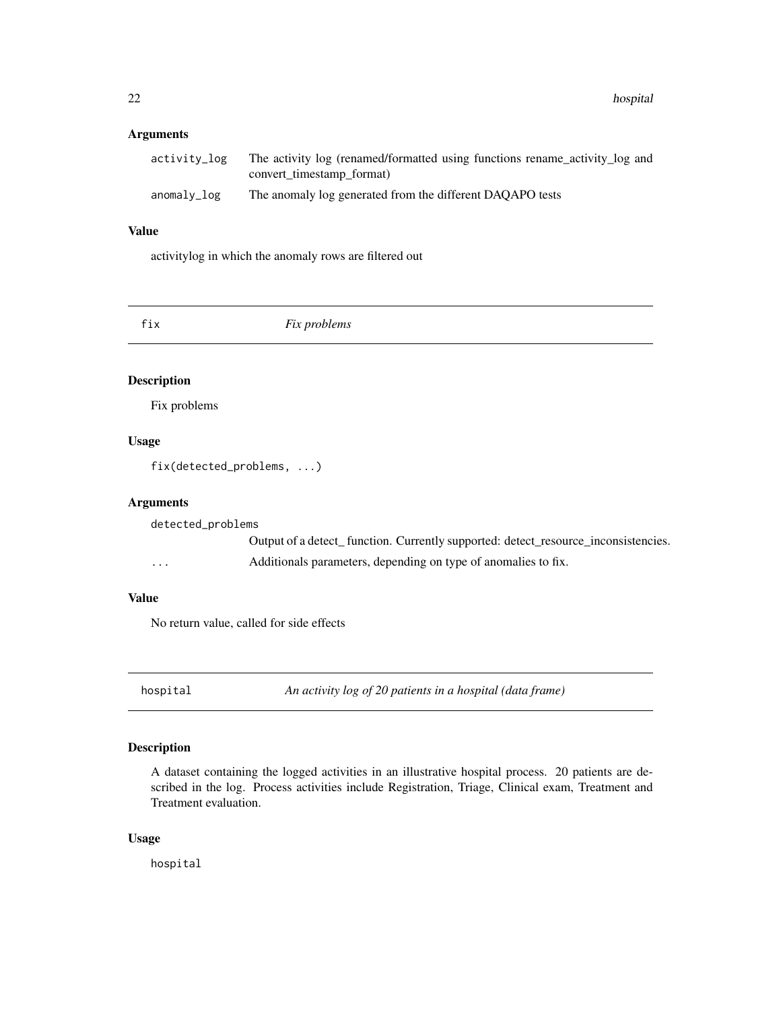#### <span id="page-21-0"></span>Arguments

| activity log | The activity log (renamed/formatted using functions rename_activity_log and<br>convert timestamp format) |
|--------------|----------------------------------------------------------------------------------------------------------|
| anomaly_log  | The anomaly log generated from the different DAQAPO tests                                                |

#### Value

activitylog in which the anomaly rows are filtered out

fix *Fix problems*

#### Description

Fix problems

#### Usage

fix(detected\_problems, ...)

#### Arguments

detected\_problems Output of a detect\_ function. Currently supported: detect\_resource\_inconsistencies. ... Additionals parameters, depending on type of anomalies to fix.

#### Value

No return value, called for side effects

hospital *An activity log of 20 patients in a hospital (data frame)*

#### Description

A dataset containing the logged activities in an illustrative hospital process. 20 patients are described in the log. Process activities include Registration, Triage, Clinical exam, Treatment and Treatment evaluation.

#### Usage

hospital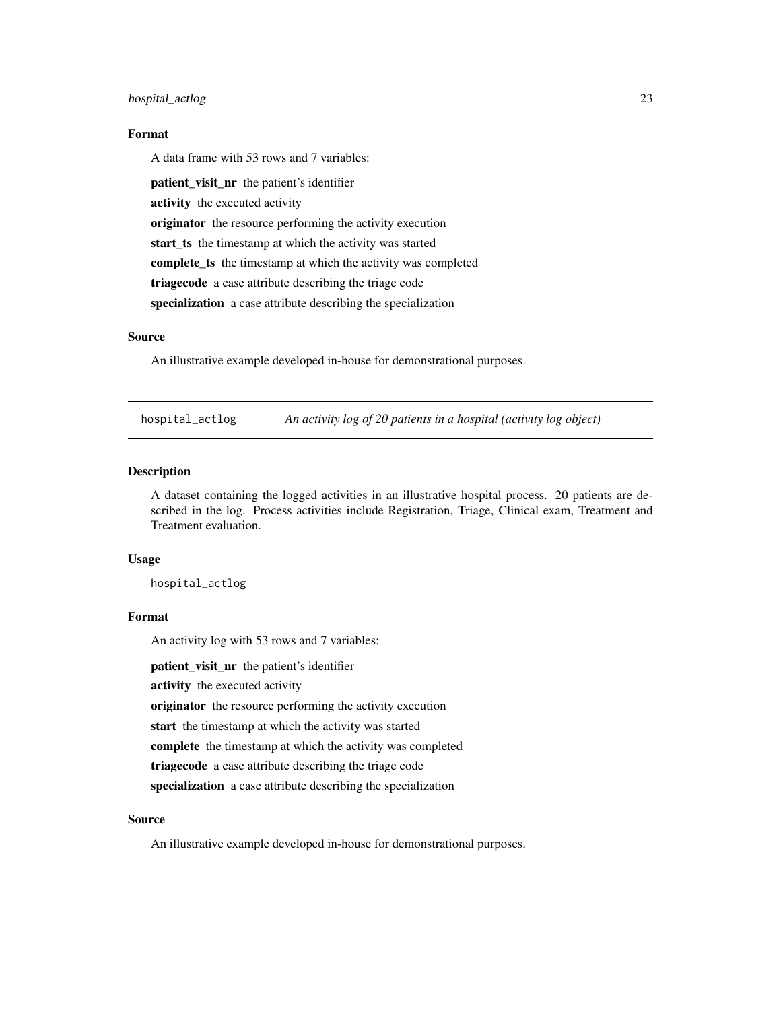#### <span id="page-22-0"></span>hospital\_actlog 23

#### Format

A data frame with 53 rows and 7 variables:

patient\_visit\_nr the patient's identifier activity the executed activity originator the resource performing the activity execution start\_ts the timestamp at which the activity was started complete\_ts the timestamp at which the activity was completed triagecode a case attribute describing the triage code specialization a case attribute describing the specialization

#### Source

An illustrative example developed in-house for demonstrational purposes.

hospital\_actlog *An activity log of 20 patients in a hospital (activity log object)*

#### **Description**

A dataset containing the logged activities in an illustrative hospital process. 20 patients are described in the log. Process activities include Registration, Triage, Clinical exam, Treatment and Treatment evaluation.

#### Usage

hospital\_actlog

#### Format

An activity log with 53 rows and 7 variables:

patient\_visit\_nr the patient's identifier

activity the executed activity

originator the resource performing the activity execution

start the timestamp at which the activity was started

complete the timestamp at which the activity was completed

triagecode a case attribute describing the triage code

specialization a case attribute describing the specialization

#### Source

An illustrative example developed in-house for demonstrational purposes.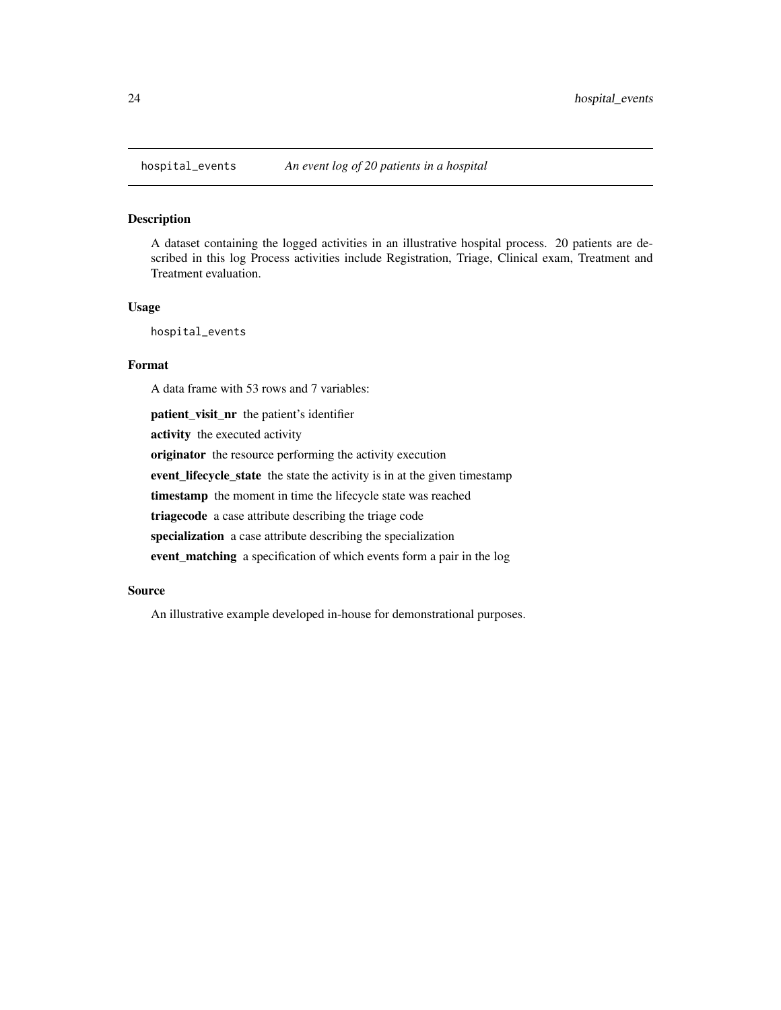<span id="page-23-0"></span>

#### Description

A dataset containing the logged activities in an illustrative hospital process. 20 patients are described in this log Process activities include Registration, Triage, Clinical exam, Treatment and Treatment evaluation.

#### Usage

hospital\_events

#### Format

A data frame with 53 rows and 7 variables:

patient\_visit\_nr the patient's identifier activity the executed activity originator the resource performing the activity execution event\_lifecycle\_state the state the activity is in at the given timestamp timestamp the moment in time the lifecycle state was reached triagecode a case attribute describing the triage code specialization a case attribute describing the specialization event\_matching a specification of which events form a pair in the log

#### Source

An illustrative example developed in-house for demonstrational purposes.